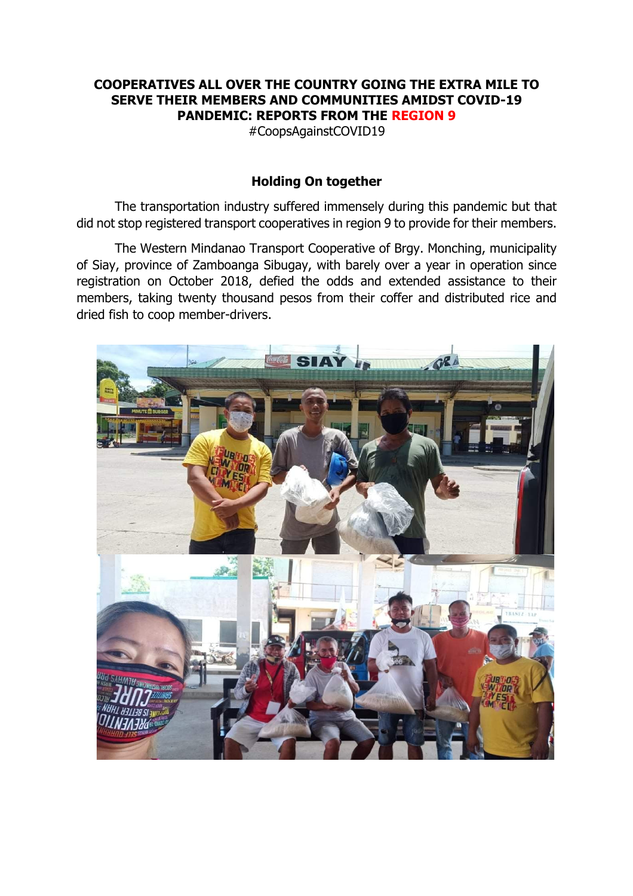## **COOPERATIVES ALL OVER THE COUNTRY GOING THE EXTRA MILE TO SERVE THEIR MEMBERS AND COMMUNITIES AMIDST COVID-19 PANDEMIC: REPORTS FROM THE REGION 9**

#CoopsAgainstCOVID19

## **Holding On together**

The transportation industry suffered immensely during this pandemic but that did not stop registered transport cooperatives in region 9 to provide for their members.

The Western Mindanao Transport Cooperative of Brgy. Monching, municipality of Siay, province of Zamboanga Sibugay, with barely over a year in operation since registration on October 2018, defied the odds and extended assistance to their members, taking twenty thousand pesos from their coffer and distributed rice and dried fish to coop member-drivers.